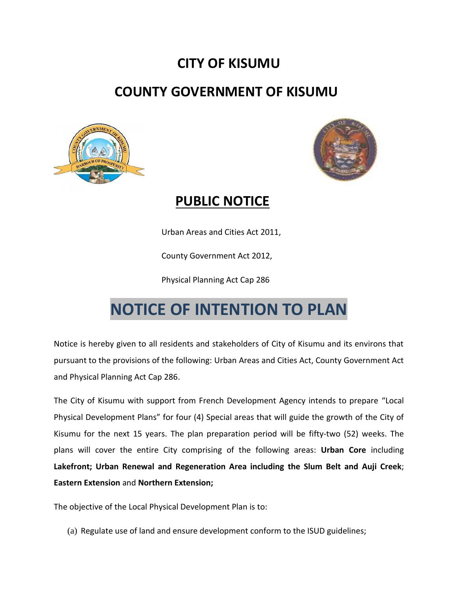## **CITY OF KISUMU**

## **COUNTY GOVERNMENT OF KISUMU**





## **PUBLIC NOTICE**

Urban Areas and Cities Act 2011,

County Government Act 2012,

Physical Planning Act Cap 286

## **NOTICE OF INTENTION TO PLAN**

Notice is hereby given to all residents and stakeholders of City of Kisumu and its environs that pursuant to the provisions of the following: Urban Areas and Cities Act, County Government Act and Physical Planning Act Cap 286.

The City of Kisumu with support from French Development Agency intends to prepare "Local Physical Development Plans" for four (4) Special areas that will guide the growth of the City of Kisumu for the next 15 years. The plan preparation period will be fifty-two (52) weeks. The plans will cover the entire City comprising of the following areas: **Urban Core** including **Lakefront; Urban Renewal and Regeneration Area including the Slum Belt and Auji Creek**; **Eastern Extension** and **Northern Extension;**

The objective of the Local Physical Development Plan is to:

(a) Regulate use of land and ensure development conform to the ISUD guidelines;